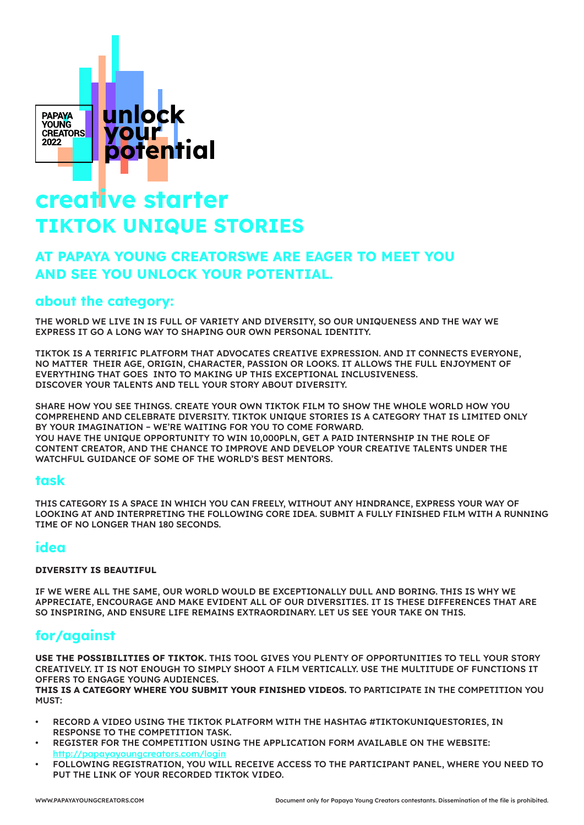

# **creative starter TIKTOK UNIQUE STORIES**

### **AT PAPAYA YOUNG CREATORSWE ARE EAGER TO MEET YOU AND SEE YOU UNLOCK YOUR POTENTIAL.**

### **about the category:**

THE WORLD WE LIVE IN IS FULL OF VARIETY AND DIVERSITY, SO OUR UNIQUENESS AND THE WAY WE EXPRESS IT GO A LONG WAY TO SHAPING OUR OWN PERSONAL IDENTITY.

TIKTOK IS A TERRIFIC PLATFORM THAT ADVOCATES CREATIVE EXPRESSION. AND IT CONNECTS EVERYONE, NO MATTER THEIR AGE, ORIGIN, CHARACTER, PASSION OR LOOKS. IT ALLOWS THE FULL ENJOYMENT OF EVERYTHING THAT GOES INTO TO MAKING UP THIS EXCEPTIONAL INCLUSIVENESS. DISCOVER YOUR TALENTS AND TELL YOUR STORY ABOUT DIVERSITY.

SHARE HOW YOU SEE THINGS. CREATE YOUR OWN TIKTOK FILM TO SHOW THE WHOLE WORLD HOW YOU COMPREHEND AND CELEBRATE DIVERSITY. TIKTOK UNIQUE STORIES IS A CATEGORY THAT IS LIMITED ONLY BY YOUR IMAGINATION – WE'RE WAITING FOR YOU TO COME FORWARD. YOU HAVE THE UNIQUE OPPORTUNITY TO WIN 10,000PLN, GET A PAID INTERNSHIP IN THE ROLE OF CONTENT CREATOR, AND THE CHANCE TO IMPROVE AND DEVELOP YOUR CREATIVE TALENTS UNDER THE WATCHFUL GUIDANCE OF SOME OF THE WORLD'S BEST MENTORS.

#### **task**

THIS CATEGORY IS A SPACE IN WHICH YOU CAN FREELY, WITHOUT ANY HINDRANCE, EXPRESS YOUR WAY OF LOOKING AT AND INTERPRETING THE FOLLOWING CORE IDEA. SUBMIT A FULLY FINISHED FILM WITH A RUNNING TIME OF NO LONGER THAN 180 SECONDS.

#### **idea**

#### **DIVERSITY IS BEAUTIFUL**

IF WE WERE ALL THE SAME, OUR WORLD WOULD BE EXCEPTIONALLY DULL AND BORING. THIS IS WHY WE APPRECIATE, ENCOURAGE AND MAKE EVIDENT ALL OF OUR DIVERSITIES. IT IS THESE DIFFERENCES THAT ARE SO INSPIRING, AND ENSURE LIFE REMAINS EXTRAORDINARY. LET US SEE YOUR TAKE ON THIS.

## **for/against**

**USE THE POSSIBILITIES OF TIKTOK.** THIS TOOL GIVES YOU PLENTY OF OPPORTUNITIES TO TELL YOUR STORY CREATIVELY. IT IS NOT ENOUGH TO SIMPLY SHOOT A FILM VERTICALLY. USE THE MULTITUDE OF FUNCTIONS IT OFFERS TO ENGAGE YOUNG AUDIENCES.

**THIS IS A CATEGORY WHERE YOU SUBMIT YOUR FINISHED VIDEOS.** TO PARTICIPATE IN THE COMPETITION YOU MUST:

- • RECORD A VIDEO USING THE TIKTOK PLATFORM WITH THE HASHTAG #TIKTOKUNIQUESTORIES, IN RESPONSE TO THE COMPETITION TASK.
- REGISTER FOR THE COMPETITION USING THE APPLICATION FORM AVAILABLE ON THE WEBSITE: http://papayayoungcreators.com/login
- FOLLOWING REGISTRATION, YOU WILL RECEIVE ACCESS TO THE PARTICIPANT PANEL, WHERE YOU NEED TO PUT THE LINK OF YOUR RECORDED TIKTOK VIDEO.